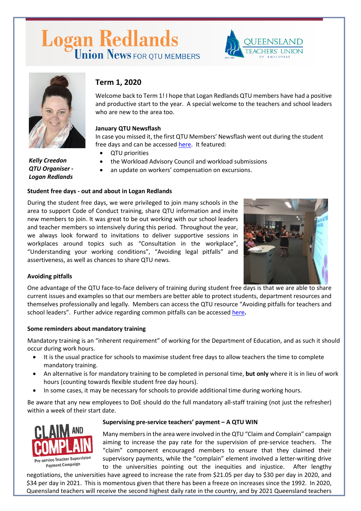# Logan Redlands





# **Term 1, 2020**

Welcome back to Term 1! I hope that Logan Redlands QTU members have had a positive and productive start to the year. A special welcome to the teachers and school leaders who are new to the area too.

## **January QTU Newsflash**

In case you missed it, the first QTU Members' Newsflash went out during the student free days and can be accessed [here.](https://www.qtu.asn.au/info-qtu/news/latest-news-slider/23-jan-2020-reducing-workload-priority-1) It featured:

- QTU priorities
- the Workload Advisory Council and workload submissions
- an update on workers' compensation on excursions.

#### **Student free days - out and about in Logan Redlands**

During the student free days, we were privileged to join many schools in the area to support Code of Conduct training, share QTU information and invite new members to join. It was great to be out working with our school leaders and teacher members so intensively during this period. Throughout the year, we always look forward to invitations to deliver supportive sessions in workplaces around topics such as "Consultation in the workplace", "Understanding your working conditions", "Avoiding legal pitfalls" and assertiveness, as well as chances to share QTU news.



#### **Avoiding pitfalls**

One advantage of the QTU face-to-face delivery of training during student free days is that we are able to share current issues and examples so that our members are better able to protect students, department resources and themselves professionally and legally. Members can access the QTU resource "Avoiding pitfalls for teachers and school leaders". Further advice regarding common pitfalls can be accesse[d here](https://www.qtu.asn.au/application/files/2615/1978/4366/Avoiding_pitfalls.pdf)**.**

#### **Some reminders about mandatory training**

Mandatory training is an "inherent requirement" of working for the Department of Education, and as such it should occur during work hours.

- It is the usual practice for schools to maximise student free days to allow teachers the time to complete mandatory training.
- An alternative is for mandatory training to be completed in personal time, **but only** where it is in lieu of work hours (counting towards flexible student free day hours).
- In some cases, it may be necessary for schools to provide additional time during working hours.

Be aware that any new employees to DoE should do the full mandatory all-staff training (not just the refresher) within a week of their start date.



#### **Supervising pre-service teachers' payment – A QTU WIN**

Many members in the area were involved in the QTU "Claim and Complain" campaign aiming to increase the pay rate for the supervision of pre-service teachers. The "claim" component encouraged members to ensure that they claimed their supervisory payments, while the "complain" element involved a letter-writing drive to the universities pointing out the inequities and injustice. After lengthy

negotiations, the universities have agreed to increase the rate from \$21.05 per day to \$30 per day in 2020, and \$34 per day in 2021. This is momentous given that there has been a freeze on increases since the 1992. In 2020, Queensland teachers will receive the second highest daily rate in the country, and by 2021 Queensland teachers

*Kelly Creedon QTU Organiser - Logan Redlands*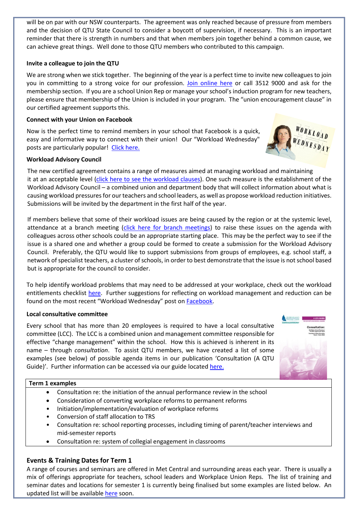will be on par with our NSW counterparts. The agreement was only reached because of pressure from members and the decision of QTU State Council to consider a boycott of supervision, if necessary. This is an important reminder that there is strength in numbers and that when members join together behind a common cause, we can achieve great things. Well done to those QTU members who contributed to this campaign.

### **Invite a colleague to join the QTU**

We are strong when we stick together. The beginning of the year is a perfect time to invite new colleagues to join you in committing to a strong voice for our profession. [Join online here](https://www.qtu.asn.au/join) or call 3512 9000 and ask for the membership section. If you are a school Union Rep or manage your school's induction program for new teachers, please ensure that membership of the Union is included in your program. The "union encouragement clause" in our certified agreement supports this.

#### **Connect with your Union on Facebook**

Now is the perfect time to remind members in your school that Facebook is a quick, easy and informative way to connect with their union! Our "Workload Wednesday" posts are particularly popular! [Click here.](https://www.facebook.com/QueenslandTeachersUnion)

#### **Workload Advisory Council**

The new certified agreement contains a range of measures aimed at managing workload and maintaining it at an acceptable level [\(click here to see the workload clauses\)](https://www.qtu.asn.au/ca2019-workload-clauses). One such measure is the establishment of the Workload Advisory Council – a combined union and department body that will collect information about what is causing workload pressures for our teachers and school leaders, as well as propose workload reduction initiatives. Submissions will be invited by the department in the first half of the year.

If members believe that some of their workload issues are being caused by the region or at the systemic level, attendance at a branch meeting [\(click here for branch meetings\)](https://www.qtu.asn.au/branch-meetings) to raise these issues on the agenda with colleagues across other schools could be an appropriate starting place. This may be the perfect way to see if the issue is a shared one and whether a group could be formed to create a submission for the Workload Advisory Council. Preferably, the QTU would like to support submissions from groups of employees, e.g. school staff, a network of specialist teachers, a cluster of schools, in order to best demonstrate that the issue is not school based but is appropriate for the council to consider.

To help identify workload problems that may need to be addressed at your workplace, check out the workload entitlements checklist [here.](https://www.qtu.asn.au/workload-entitlements-checklist) Further suggestions for reflecting on workload management and reduction can be found on the most recent "Workload Wednesday" post o[n Facebook.](https://www.facebook.com/QueenslandTeachersUnion/)

#### **Local consultative committee**

Every school that has more than 20 employees is required to have a local consultative committee (LCC). The LCC is a combined union and management committee responsible for effective "change management" within the school. How this is achieved is inherent in its name – through *consultation*. To assist QTU members, we have created a list of some examples (see below) of possible agenda items in our publication 'Consultation (A QTU Guide)'. Further information can be accessed via our guide located [here.](https://www.qtu.asn.au/qtuguide-consultation)

#### **Term 1 examples**

- Consultation re: the initiation of the annual performance review in the school
- Consideration of converting workplace reforms to permanent reforms
- Initiation/implementation/evaluation of workplace reforms
- Conversion of staff allocation to TRS
- Consultation re: school reporting processes, including timing of parent/teacher interviews and mid-semester reports
- Consultation re: system of collegial engagement in classrooms

#### **Events & Training Dates for Term 1**

A range of courses and seminars are offered in Met Central and surrounding areas each year. There is usually a mix of offerings appropriate for teachers, school leaders and Workplace Union Reps. The list of training and seminar dates and locations for semester 1 is currently being finalised but some examples are listed below. An updated list will be available [here](https://www.qtu.asn.au/qtec) soon.